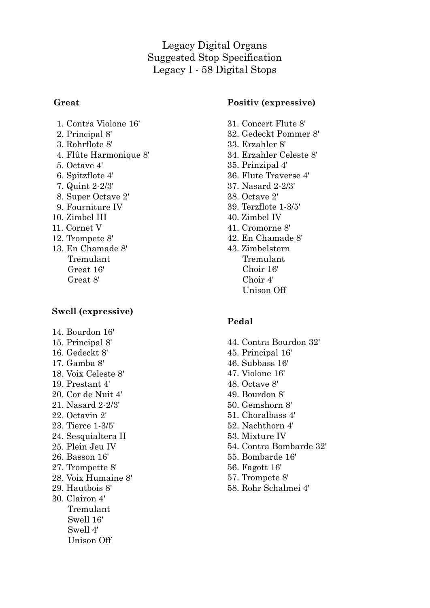Legacy Digital Organs Suggested Stop Specification Legacy I - 58 Digital Stops

#### **Great**

- 1. Contra Violone 16'
- 2. Principal 8'
- 3. Rohrflote 8'
- 4. Flûte Harmonique 8'
- 5. Octave 4'
- 6. Spitzflote 4'
- 7. Quint 2-2/3'
- 8. Super Octave 2'
- 9. Fourniture IV
- 10. Zimbel III
- 11. Cornet V
- 12. Trompete 8'
- 13. En Chamade 8' Tremulant Great 16' Great 8'

## **Swell (expressive)**

14. Bourdon 16' 15. Principal 8' 16. Gedeckt 8' 17. Gamba 8' 18. Voix Celeste 8' 19. Prestant 4' 20. Cor de Nuit 4' 21. Nasard 2-2/3' 22. Octavin 2' 23. Tierce 1-3/5' 24. Sesquialtera II 25. Plein Jeu IV 26. Basson 16' 27. Trompette 8' 28. Voix Humaine 8' 29. Hautbois 8' 30. Clairon 4' Tremulant Swell 16' Swell 4' Unison Off

### **Positiv (expressive)**

- 31. Concert Flute 8'
- 32. Gedeckt Pommer 8'
- 33. Erzahler 8'
- 34. Erzahler Celeste 8'
- 35. Prinzipal 4'
- 36. Flute Traverse 4'
- 37. Nasard 2-2/3'
- 38. Octave 2'
- 39. Terzflote 1-3/5'
- 40. Zimbel IV
- 41. Cromorne 8'
- 42. En Chamade 8'
- 43. Zimbelstern Tremulant Choir 16' Choir 4' Unison Off

## **Pedal**

- 44. Contra Bourdon 32'
- 45. Principal 16'
- 46. Subbass 16'
- 47. Violone 16'
- 48. Octave 8'
- 49. Bourdon 8'
- 50. Gemshorn 8'
- 51. Choralbass 4'
- 52. Nachthorn 4'
- 53. Mixture IV
- 54. Contra Bombarde 32'
- 55. Bombarde 16'
- 56. Fagott 16'
- 57. Trompete 8'
- 58. Rohr Schalmei 4'